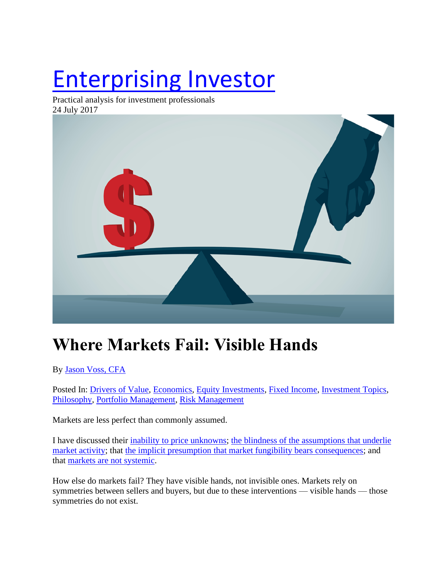# [Enterprising Investor](https://blogs.cfainstitute.org/investor)

Practical analysis for investment professionals 24 July 2017



# **Where Markets Fail: Visible Hands**

By [Jason Voss, CFA](https://blogs.cfainstitute.org/investor/author/jasonvoss/)

Posted In: [Drivers of Value,](https://blogs.cfainstitute.org/investor/category/drivers-of-value/) [Economics,](https://blogs.cfainstitute.org/investor/category/economics/) [Equity Investments,](https://blogs.cfainstitute.org/investor/category/equity-investments/) [Fixed Income,](https://blogs.cfainstitute.org/investor/category/fixed-income/) [Investment Topics,](https://blogs.cfainstitute.org/investor/category/investment-topics/) [Philosophy,](https://blogs.cfainstitute.org/investor/category/philosophy-2/) [Portfolio Management,](https://blogs.cfainstitute.org/investor/category/portfolio-management/) [Risk Management](https://blogs.cfainstitute.org/investor/category/risk-management/)

Markets are less perfect than commonly assumed.

I have discussed their [inability to price unknowns;](https://blogs.cfainstitute.org/investor/2016/12/07/where-markets-fail-an-imperfect-discounting-mechanism/) [the blindness of the assumptions that underlie](http://blogs.cfainstitute.org/investor/2017/02/08/where-markets-fail-markets-assume-a-context/)  [market activity;](http://blogs.cfainstitute.org/investor/2017/02/08/where-markets-fail-markets-assume-a-context/) that [the implicit presumption that market fungibility bears consequences;](https://blogs.cfainstitute.org/investor/2017/03/27/where-markets-fail-markets-assume-fungibility/) and that [markets are not systemic.](https://blogs.cfainstitute.org/investor/2017/05/30/where-markets-fail-markets-are-not-systemic/)

How else do markets fail? They have visible hands, not invisible ones. Markets rely on symmetries between sellers and buyers, but due to these interventions — visible hands — those symmetries do not exist.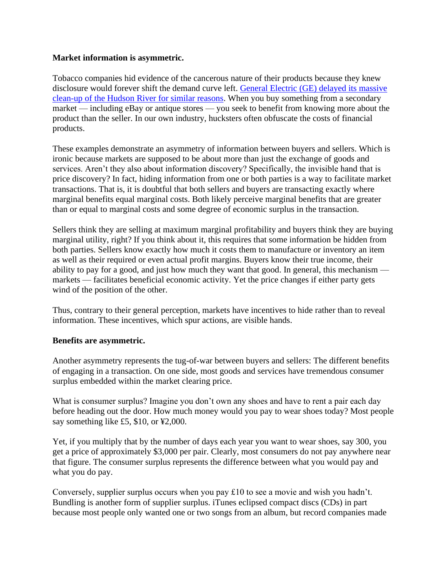# **Market information is asymmetric.**

Tobacco companies hid evidence of the cancerous nature of their products because they knew disclosure would forever shift the demand curve left. [General Electric \(GE\) delayed](https://www.northcountrypublicradio.org/news/story/28460/20150525/remembering-the-historic-fight-over-pcb-dredging-on-the-hudson-river) its massive [clean-up of the Hudson River for similar reasons.](https://www.northcountrypublicradio.org/news/story/28460/20150525/remembering-the-historic-fight-over-pcb-dredging-on-the-hudson-river) When you buy something from a secondary market — including eBay or antique stores — you seek to benefit from knowing more about the product than the seller. In our own industry, hucksters often obfuscate the costs of financial products.

These examples demonstrate an asymmetry of information between buyers and sellers. Which is ironic because markets are supposed to be about more than just the exchange of goods and services. Aren't they also about information discovery? Specifically, the invisible hand that is price discovery? In fact, hiding information from one or both parties is a way to facilitate market transactions. That is, it is doubtful that both sellers and buyers are transacting exactly where marginal benefits equal marginal costs. Both likely perceive marginal benefits that are greater than or equal to marginal costs and some degree of economic surplus in the transaction.

Sellers think they are selling at maximum marginal profitability and buyers think they are buying marginal utility, right? If you think about it, this requires that some information be hidden from both parties. Sellers know exactly how much it costs them to manufacture or inventory an item as well as their required or even actual profit margins. Buyers know their true income, their ability to pay for a good, and just how much they want that good. In general, this mechanism markets — facilitates beneficial economic activity. Yet the price changes if either party gets wind of the position of the other.

Thus, contrary to their general perception, markets have incentives to hide rather than to reveal information. These incentives, which spur actions, are visible hands.

# **Benefits are asymmetric.**

Another asymmetry represents the tug-of-war between buyers and sellers: The different benefits of engaging in a transaction. On one side, most goods and services have tremendous consumer surplus embedded within the market clearing price.

What is consumer surplus? Imagine you don't own any shoes and have to rent a pair each day before heading out the door. How much money would you pay to wear shoes today? Most people say something like £5, \$10, or ¥2,000.

Yet, if you multiply that by the number of days each year you want to wear shoes, say 300, you get a price of approximately \$3,000 per pair. Clearly, most consumers do not pay anywhere near that figure. The consumer surplus represents the difference between what you would pay and what you do pay.

Conversely, supplier surplus occurs when you pay £10 to see a movie and wish you hadn't. Bundling is another form of supplier surplus. iTunes eclipsed compact discs (CDs) in part because most people only wanted one or two songs from an album, but record companies made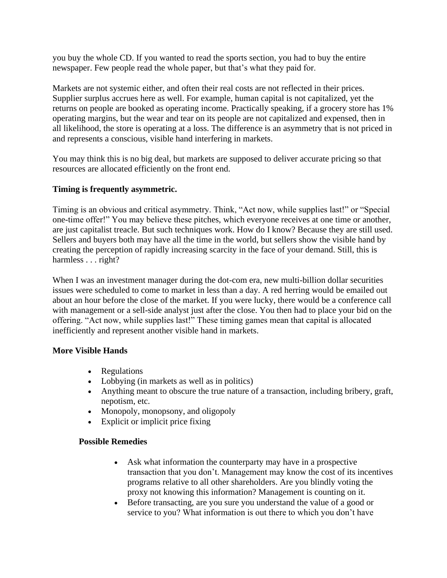you buy the whole CD. If you wanted to read the sports section, you had to buy the entire newspaper. Few people read the whole paper, but that's what they paid for.

Markets are not systemic either, and often their real costs are not reflected in their prices. Supplier surplus accrues here as well. For example, human capital is not capitalized, yet the returns on people are booked as operating income. Practically speaking, if a grocery store has 1% operating margins, but the wear and tear on its people are not capitalized and expensed, then in all likelihood, the store is operating at a loss. The difference is an asymmetry that is not priced in and represents a conscious, visible hand interfering in markets.

You may think this is no big deal, but markets are supposed to deliver accurate pricing so that resources are allocated efficiently on the front end.

# **Timing is frequently asymmetric.**

Timing is an obvious and critical asymmetry. Think, "Act now, while supplies last!" or "Special one-time offer!" You may believe these pitches, which everyone receives at one time or another, are just capitalist treacle. But such techniques work. How do I know? Because they are still used. Sellers and buyers both may have all the time in the world, but sellers show the visible hand by creating the perception of rapidly increasing scarcity in the face of your demand. Still, this is harmless . . . right?

When I was an investment manager during the dot-com era, new multi-billion dollar securities issues were scheduled to come to market in less than a day. A red herring would be emailed out about an hour before the close of the market. If you were lucky, there would be a conference call with management or a sell-side analyst just after the close. You then had to place your bid on the offering. "Act now, while supplies last!" These timing games mean that capital is allocated inefficiently and represent another visible hand in markets.

# **More Visible Hands**

- Regulations
- Lobbying (in markets as well as in politics)
- Anything meant to obscure the true nature of a transaction, including bribery, graft, nepotism, etc.
- Monopoly, monopsony, and oligopoly
- Explicit or implicit price fixing

# **Possible Remedies**

- Ask what information the counterparty may have in a prospective transaction that you don't. Management may know the cost of its incentives programs relative to all other shareholders. Are you blindly voting the proxy not knowing this information? Management is counting on it.
- Before transacting, are you sure you understand the value of a good or service to you? What information is out there to which you don't have